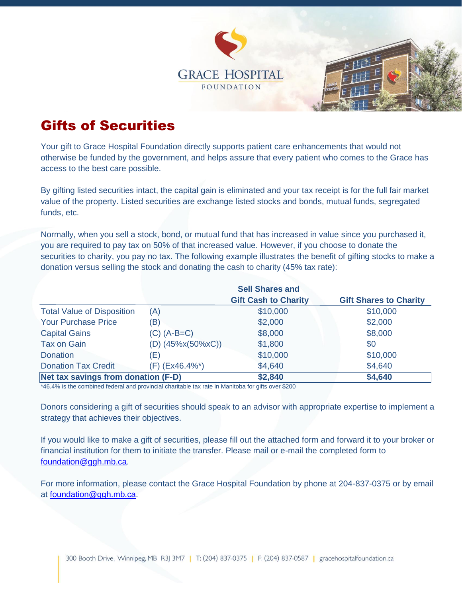



## Gifts of Securities

Your gift to Grace Hospital Foundation directly supports patient care enhancements that would not otherwise be funded by the government, and helps assure that every patient who comes to the Grace has access to the best care possible.

By gifting listed securities intact, the capital gain is eliminated and your tax receipt is for the full fair market value of the property. Listed securities are exchange listed stocks and bonds, mutual funds, segregated funds, etc.

Normally, when you sell a stock, bond, or mutual fund that has increased in value since you purchased it, you are required to pay tax on 50% of that increased value. However, if you choose to donate the securities to charity, you pay no tax. The following example illustrates the benefit of gifting stocks to make a donation versus selling the stock and donating the cash to charity (45% tax rate):

|                                     | <b>Sell Shares and</b> |                             |                               |
|-------------------------------------|------------------------|-----------------------------|-------------------------------|
|                                     |                        | <b>Gift Cash to Charity</b> | <b>Gift Shares to Charity</b> |
| <b>Total Value of Disposition</b>   | (A)                    | \$10,000                    | \$10,000                      |
| <b>Your Purchase Price</b>          | (B)                    | \$2,000                     | \$2,000                       |
| <b>Capital Gains</b>                | $(C)$ $(A-B=C)$        | \$8,000                     | \$8,000                       |
| <b>Tax on Gain</b>                  | $(D)$ (45%x(50%xC))    | \$1,800                     | \$0                           |
| <b>Donation</b>                     | (E)                    | \$10,000                    | \$10,000                      |
| <b>Donation Tax Credit</b>          | (F) (Ex46.4%*)         | \$4,640                     | \$4,640                       |
| Net tax savings from donation (F-D) |                        | \$2,840                     | \$4,640                       |

\*46.4% is the combined federal and provincial charitable tax rate in Manitoba for gifts over \$200

Donors considering a gift of securities should speak to an advisor with appropriate expertise to implement a strategy that achieves their objectives.

If you would like to make a gift of securities, please fill out the attached form and forward it to your broker or financial institution for them to initiate the transfer. Please mail or e-mail the completed form to [foundation@ggh.mb.ca.](mailto:foundation@ggh.mb.ca)

For more information, please contact the Grace Hospital Foundation by phone at 204-837-0375 or by email at [foundation@ggh.mb.ca.](mailto:foundation@ggh.mb.ca)